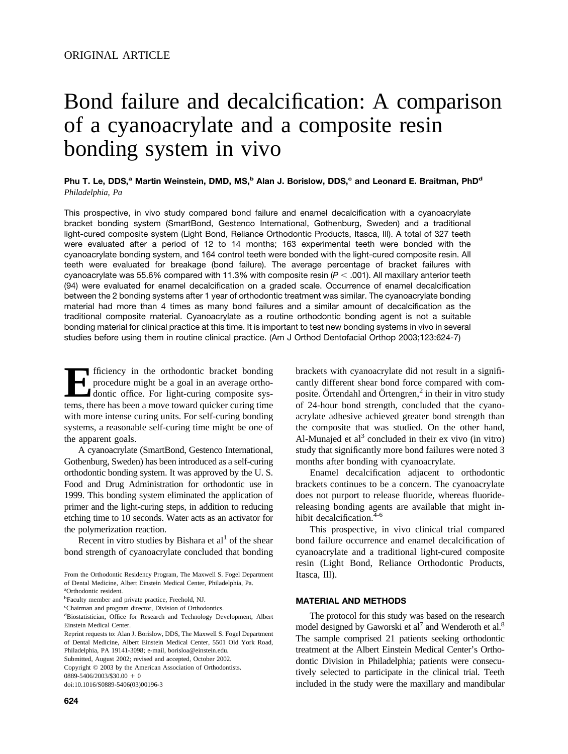# Bond failure and decalcification: A comparison of a cyanoacrylate and a composite resin bonding system in vivo

Phu T. Le, DDS,<sup>a</sup> Martin Weinstein, DMD, MS,<sup>b</sup> Alan J. Borislow, DDS,<sup>c</sup> and Leonard E. Braitman, PhD<sup>d</sup> *Philadelphia, Pa*

This prospective, in vivo study compared bond failure and enamel decalcification with a cyanoacrylate bracket bonding system (SmartBond, Gestenco International, Gothenburg, Sweden) and a traditional light-cured composite system (Light Bond, Reliance Orthodontic Products, Itasca, Ill). A total of 327 teeth were evaluated after a period of 12 to 14 months; 163 experimental teeth were bonded with the cyanoacrylate bonding system, and 164 control teeth were bonded with the light-cured composite resin. All teeth were evaluated for breakage (bond failure). The average percentage of bracket failures with cyanoacrylate was 55.6% compared with 11.3% with composite resin  $(P < .001)$ . All maxillary anterior teeth (94) were evaluated for enamel decalcification on a graded scale. Occurrence of enamel decalcification between the 2 bonding systems after 1 year of orthodontic treatment was similar. The cyanoacrylate bonding material had more than 4 times as many bond failures and a similar amount of decalcification as the traditional composite material. Cyanoacrylate as a routine orthodontic bonding agent is not a suitable bonding material for clinical practice at this time. It is important to test new bonding systems in vivo in several studies before using them in routine clinical practice. (Am J Orthod Dentofacial Orthop 2003;123:624-7)

**Efficiency** in the orthodontic bracket bonding<br>procedure might be a goal in an average ortho-<br>dontic office. For light-curing composite sys-<br>tems there has been a move toward quicker curing time procedure might be a goal in an average orthodontic office. For light-curing composite systems, there has been a move toward quicker curing time with more intense curing units. For self-curing bonding systems, a reasonable self-curing time might be one of the apparent goals.

A cyanoacrylate (SmartBond, Gestenco International, Gothenburg, Sweden) has been introduced as a self-curing orthodontic bonding system. It was approved by the U. S. Food and Drug Administration for orthodontic use in 1999. This bonding system eliminated the application of primer and the light-curing steps, in addition to reducing etching time to 10 seconds. Water acts as an activator for the polymerization reaction.

Recent in vitro studies by Bishara et  $al<sup>1</sup>$  of the shear bond strength of cyanoacrylate concluded that bonding

Copyright © 2003 by the American Association of Orthodontists.

brackets with cyanoacrylate did not result in a significantly different shear bond force compared with composite. Örtendahl and Örtengren, $<sup>2</sup>$  in their in vitro study</sup> of 24-hour bond strength, concluded that the cyanoacrylate adhesive achieved greater bond strength than the composite that was studied. On the other hand, Al-Munajed et  $al<sup>3</sup>$  concluded in their ex vivo (in vitro) study that significantly more bond failures were noted 3 months after bonding with cyanoacrylate.

Enamel decalcification adjacent to orthodontic brackets continues to be a concern. The cyanoacrylate does not purport to release fluoride, whereas fluoridereleasing bonding agents are available that might inhibit decalcification.<sup>4-6</sup>

This prospective, in vivo clinical trial compared bond failure occurrence and enamel decalcification of cyanoacrylate and a traditional light-cured composite resin (Light Bond, Reliance Orthodontic Products, Itasca, Ill).

#### **MATERIAL AND METHODS**

The protocol for this study was based on the research model designed by Gaworski et  $al^7$  and Wenderoth et  $al^8$ . The sample comprised 21 patients seeking orthodontic treatment at the Albert Einstein Medical Center's Orthodontic Division in Philadelphia; patients were consecutively selected to participate in the clinical trial. Teeth included in the study were the maxillary and mandibular

From the Orthodontic Residency Program, The Maxwell S. Fogel Department of Dental Medicine, Albert Einstein Medical Center, Philadelphia, Pa. a Orthodontic resident.

b Faculty member and private practice, Freehold, NJ.

c Chairman and program director, Division of Orthodontics.

d Biostatistician, Office for Research and Technology Development, Albert Einstein Medical Center.

Reprint requests to: Alan J. Borislow, DDS, The Maxwell S. Fogel Department of Dental Medicine, Albert Einstein Medical Center, 5501 Old York Road, Philadelphia, PA 19141-3098; e-mail, borisloa@einstein.edu.

Submitted, August 2002; revised and accepted, October 2002.

 $0889 - 5406/2003/\$30.00 + 0$ 

doi:10.1016/S0889-5406(03)00196-3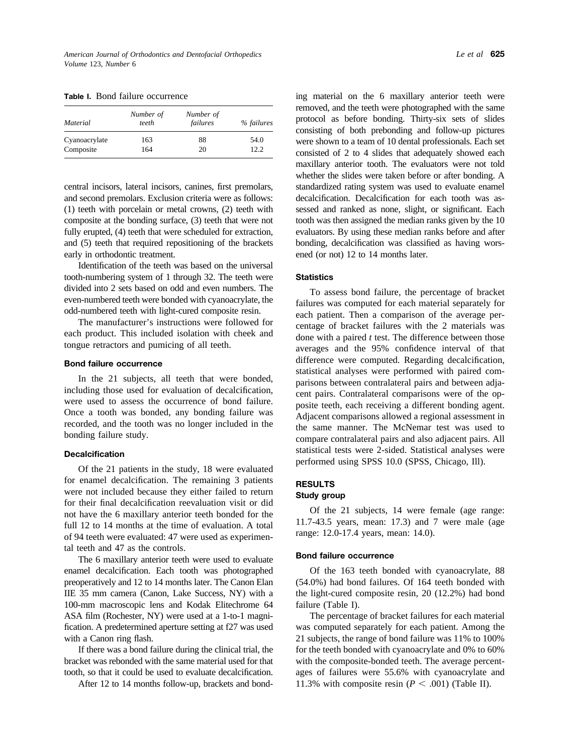| Material      | Number of<br>teeth | Number of<br>failures | % failures |  |
|---------------|--------------------|-----------------------|------------|--|
| Cyanoacrylate | 163                | 88                    | 54.0       |  |
| Composite     | 164                | 20                    | 12.2       |  |

**Table I.** Bond failure occurrence

central incisors, lateral incisors, canines, first premolars, and second premolars. Exclusion criteria were as follows: (1) teeth with porcelain or metal crowns, (2) teeth with composite at the bonding surface, (3) teeth that were not fully erupted, (4) teeth that were scheduled for extraction, and (5) teeth that required repositioning of the brackets early in orthodontic treatment.

Identification of the teeth was based on the universal tooth-numbering system of 1 through 32. The teeth were divided into 2 sets based on odd and even numbers. The even-numbered teeth were bonded with cyanoacrylate, the odd-numbered teeth with light-cured composite resin.

The manufacturer's instructions were followed for each product. This included isolation with cheek and tongue retractors and pumicing of all teeth.

### **Bond failure occurrence**

In the 21 subjects, all teeth that were bonded, including those used for evaluation of decalcification, were used to assess the occurrence of bond failure. Once a tooth was bonded, any bonding failure was recorded, and the tooth was no longer included in the bonding failure study.

#### **Decalcification**

Of the 21 patients in the study, 18 were evaluated for enamel decalcification. The remaining 3 patients were not included because they either failed to return for their final decalcification reevaluation visit or did not have the 6 maxillary anterior teeth bonded for the full 12 to 14 months at the time of evaluation. A total of 94 teeth were evaluated: 47 were used as experimental teeth and 47 as the controls.

The 6 maxillary anterior teeth were used to evaluate enamel decalcification. Each tooth was photographed preoperatively and 12 to 14 months later. The Canon Elan IIE 35 mm camera (Canon, Lake Success, NY) with a 100-mm macroscopic lens and Kodak Elitechrome 64 ASA film (Rochester, NY) were used at a 1-to-1 magnification. A predetermined aperture setting at f27 was used with a Canon ring flash.

If there was a bond failure during the clinical trial, the bracket was rebonded with the same material used for that tooth, so that it could be used to evaluate decalcification.

After 12 to 14 months follow-up, brackets and bond-

ing material on the 6 maxillary anterior teeth were removed, and the teeth were photographed with the same protocol as before bonding. Thirty-six sets of slides consisting of both prebonding and follow-up pictures were shown to a team of 10 dental professionals. Each set consisted of 2 to 4 slides that adequately showed each maxillary anterior tooth. The evaluators were not told whether the slides were taken before or after bonding. A standardized rating system was used to evaluate enamel decalcification. Decalcification for each tooth was assessed and ranked as none, slight, or significant. Each tooth was then assigned the median ranks given by the 10 evaluators. By using these median ranks before and after bonding, decalcification was classified as having worsened (or not) 12 to 14 months later.

## **Statistics**

To assess bond failure, the percentage of bracket failures was computed for each material separately for each patient. Then a comparison of the average percentage of bracket failures with the 2 materials was done with a paired *t* test. The difference between those averages and the 95% confidence interval of that difference were computed. Regarding decalcification, statistical analyses were performed with paired comparisons between contralateral pairs and between adjacent pairs. Contralateral comparisons were of the opposite teeth, each receiving a different bonding agent. Adjacent comparisons allowed a regional assessment in the same manner. The McNemar test was used to compare contralateral pairs and also adjacent pairs. All statistical tests were 2-sided. Statistical analyses were performed using SPSS 10.0 (SPSS, Chicago, Ill).

## **RESULTS Study group**

Of the 21 subjects, 14 were female (age range: 11.7-43.5 years, mean: 17.3) and 7 were male (age range: 12.0-17.4 years, mean: 14.0).

#### **Bond failure occurrence**

Of the 163 teeth bonded with cyanoacrylate, 88 (54.0%) had bond failures. Of 164 teeth bonded with the light-cured composite resin, 20 (12.2%) had bond failure (Table I).

The percentage of bracket failures for each material was computed separately for each patient. Among the 21 subjects, the range of bond failure was 11% to 100% for the teeth bonded with cyanoacrylate and 0% to 60% with the composite-bonded teeth. The average percentages of failures were 55.6% with cyanoacrylate and 11.3% with composite resin  $(P < .001)$  [\(Table II\)](#page-2-0).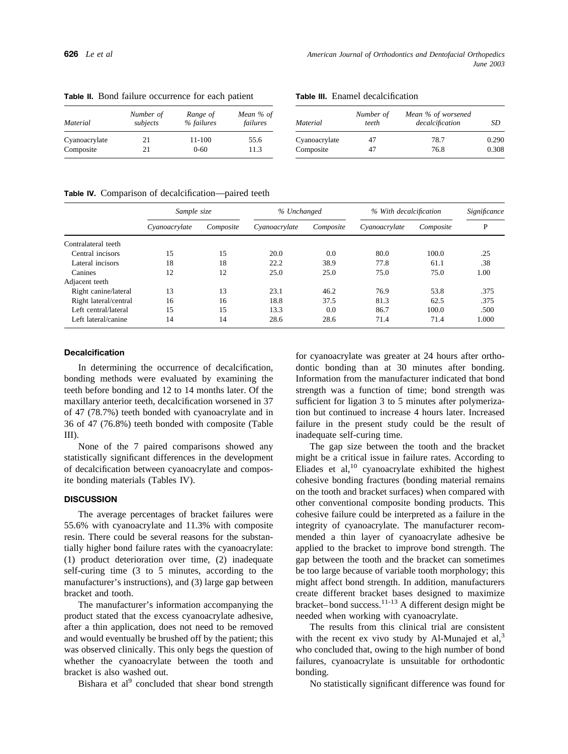| Material      | Number of<br>subjects | Range of<br>% failures | Mean % of<br>failures |  |
|---------------|-----------------------|------------------------|-----------------------|--|
| Cyanoacrylate | 21                    | 11-100                 | 55.6                  |  |
| Composite     | 21                    | $0 - 60$               | 11.3                  |  |

**Table III.** Enamel decalcification

| Material      | Number of<br>teeth | Mean % of worsened<br>decalcification | SD    |  |
|---------------|--------------------|---------------------------------------|-------|--|
| Cyanoacrylate | 47                 | 78.7                                  | 0.290 |  |
| Composite     | 47                 | 76.8                                  | 0.308 |  |

**Table IV.** Comparison of decalcification—paired teeth

<span id="page-2-0"></span>**Table II.** Bond failure occurrence for each patient

|                       | Sample size   |           | % Unchanged   |           | % With decalcification |           | Significance |  |
|-----------------------|---------------|-----------|---------------|-----------|------------------------|-----------|--------------|--|
|                       | Cyanoacrylate | Composite | Cyanoacrylate | Composite | Cyanoacrylate          | Composite | P            |  |
| Contralateral teeth   |               |           |               |           |                        |           |              |  |
| Central incisors      | 15            | 15        | 20.0          | 0.0       | 80.0                   | 100.0     | .25          |  |
| Lateral incisors      | 18            | 18        | 22.2          | 38.9      | 77.8                   | 61.1      | .38          |  |
| Canines               | 12            | 12        | 25.0          | 25.0      | 75.0                   | 75.0      | 1.00         |  |
| Adjacent teeth        |               |           |               |           |                        |           |              |  |
| Right canine/lateral  | 13            | 13        | 23.1          | 46.2      | 76.9                   | 53.8      | .375         |  |
| Right lateral/central | 16            | 16        | 18.8          | 37.5      | 81.3                   | 62.5      | .375         |  |
| Left central/lateral  | 15            | 15        | 13.3          | 0.0       | 86.7                   | 100.0     | .500         |  |
| Left lateral/canine   | 14            | 14        | 28.6          | 28.6      | 71.4                   | 71.4      | 1.000        |  |

#### **Decalcification**

In determining the occurrence of decalcification, bonding methods were evaluated by examining the teeth before bonding and 12 to 14 months later. Of the maxillary anterior teeth, decalcification worsened in 37 of 47 (78.7%) teeth bonded with cyanoacrylate and in 36 of 47 (76.8%) teeth bonded with composite (Table III).

None of the 7 paired comparisons showed any statistically significant differences in the development of decalcification between cyanoacrylate and composite bonding materials (Tables IV).

#### **DISCUSSION**

The average percentages of bracket failures were 55.6% with cyanoacrylate and 11.3% with composite resin. There could be several reasons for the substantially higher bond failure rates with the cyanoacrylate: (1) product deterioration over time, (2) inadequate self-curing time (3 to 5 minutes, according to the manufacturer's instructions), and (3) large gap between bracket and tooth.

The manufacturer's information accompanying the product stated that the excess cyanoacrylate adhesive, after a thin application, does not need to be removed and would eventually be brushed off by the patient; this was observed clinically. This only begs the question of whether the cyanoacrylate between the tooth and bracket is also washed out.

Bishara et al $<sup>9</sup>$  concluded that shear bond strength</sup>

for cyanoacrylate was greater at 24 hours after orthodontic bonding than at 30 minutes after bonding. Information from the manufacturer indicated that bond strength was a function of time; bond strength was sufficient for ligation 3 to 5 minutes after polymerization but continued to increase 4 hours later. Increased failure in the present study could be the result of inadequate self-curing time.

The gap size between the tooth and the bracket might be a critical issue in failure rates. According to Eliades et al, $^{10}$  cyanoacrylate exhibited the highest cohesive bonding fractures (bonding material remains on the tooth and bracket surfaces) when compared with other conventional composite bonding products. This cohesive failure could be interpreted as a failure in the integrity of cyanoacrylate. The manufacturer recommended a thin layer of cyanoacrylate adhesive be applied to the bracket to improve bond strength. The gap between the tooth and the bracket can sometimes be too large because of variable tooth morphology; this might affect bond strength. In addition, manufacturers create different bracket bases designed to maximize bracket–bond success. $11-13}$  A different design might be needed when working with cyanoacrylate.

The results from this clinical trial are consistent with the recent ex vivo study by Al-Munajed et  $aI$ ,<sup>3</sup> who concluded that, owing to the high number of bond failures, cyanoacrylate is unsuitable for orthodontic bonding.

No statistically significant difference was found for